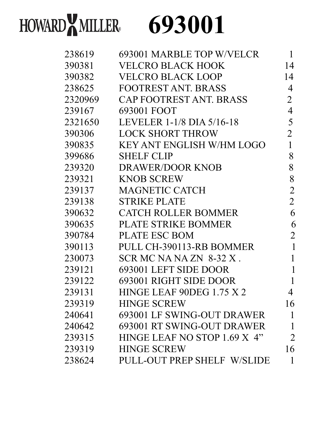## HOWARD**X** MILLER 693001

| 238619  | 693001 MARBLE TOP W/VELCR    | 1              |
|---------|------------------------------|----------------|
| 390381  | VELCRO BLACK HOOK            | 14             |
| 390382  | VELCRO BLACK LOOP            | 14             |
| 238625  | <b>FOOTREST ANT. BRASS</b>   | 4              |
| 2320969 | CAP FOOTREST ANT. BRASS      | 2              |
| 239167  | 693001 FOOT                  | 4              |
| 2321650 | LEVELER 1-1/8 DIA 5/16-18    | 5              |
| 390306  | <b>LOCK SHORT THROW</b>      | $\overline{2}$ |
| 390835  | KEY ANT ENGLISH W/HM LOGO    | 1              |
| 399686  | <b>SHELF CLIP</b>            | 8              |
| 239320  | <b>DRAWER/DOOR KNOB</b>      | 8              |
| 239321  | <b>KNOB SCREW</b>            | 8              |
| 239137  | <b>MAGNETIC CATCH</b>        | $\overline{2}$ |
| 239138  | <b>STRIKE PLATE</b>          | $\overline{2}$ |
| 390632  | CATCH ROLLER BOMMER          | 6              |
| 390635  | PLATE STRIKE BOMMER          | 6              |
| 390784  | <b>PLATE ESC BOM</b>         | 2              |
| 390113  | PULL CH-390113-RB BOMMER     | 1              |
| 230073  | SCR MC NA NA ZN 8-32 X.      | 1              |
| 239121  | 693001 LEFT SIDE DOOR        |                |
| 239122  | 693001 RIGHT SIDE DOOR       |                |
| 239131  | HINGE LEAF 90DEG 1.75 X 2    | 4              |
| 239319  | <b>HINGE SCREW</b>           | 16             |
| 240641  | 693001 LF SWING-OUT DRAWER   | 1              |
| 240642  | 693001 RT SWING-OUT DRAWER   | 1              |
| 239315  | HINGE LEAF NO STOP 1.69 X 4" | $\overline{2}$ |
| 239319  | <b>HINGE SCREW</b>           | 16             |
| 238624  | PULL-OUT PREP SHELF W/SLIDE  | 1              |
|         |                              |                |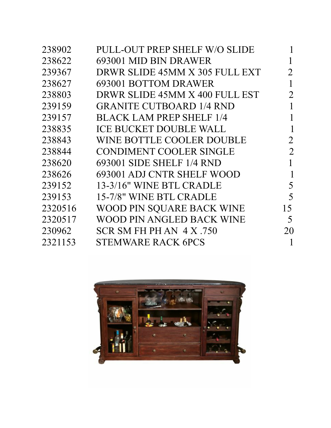| 238902  | PULL-OUT PREP SHELF W/O SLIDE   |                |
|---------|---------------------------------|----------------|
| 238622  | 693001 MID BIN DRAWER           | 1              |
| 239367  | DRWR SLIDE 45MM X 305 FULL EXT  | $\overline{2}$ |
| 238627  | 693001 BOTTOM DRAWER            |                |
| 238803  | DRWR SLIDE 45MM X 400 FULL EST  | 2              |
| 239159  | <b>GRANITE CUTBOARD 1/4 RND</b> |                |
| 239157  | <b>BLACK LAM PREP SHELF 1/4</b> |                |
| 238835  | <b>ICE BUCKET DOUBLE WALL</b>   |                |
| 238843  | WINE BOTTLE COOLER DOUBLE       | $\overline{2}$ |
| 238844  | <b>CONDIMENT COOLER SINGLE</b>  | 2              |
| 238620  | 693001 SIDE SHELF 1/4 RND       | 1              |
| 238626  | 693001 ADJ CNTR SHELF WOOD      | 1              |
| 239152  | 13-3/16" WINE BTL CRADLE        | 5              |
| 239153  | 15-7/8" WINE BTL CRADLE         | 5              |
| 2320516 | WOOD PIN SQUARE BACK WINE       | 15             |
| 2320517 | WOOD PIN ANGLED BACK WINE       | 5              |
| 230962  | SCR SM FH PH AN $4 X .750$      | 20             |
| 2321153 | <b>STEMWARE RACK 6PCS</b>       |                |
|         |                                 |                |

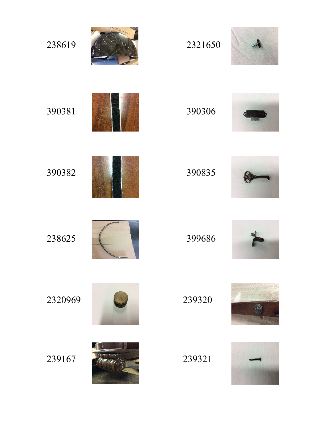| 238619  | 2321650 |  |
|---------|---------|--|
| 390381  | 390306  |  |
| 390382  | 390835  |  |
| 238625  | 399686  |  |
| 2320969 | 239320  |  |
| 239167  | 239321  |  |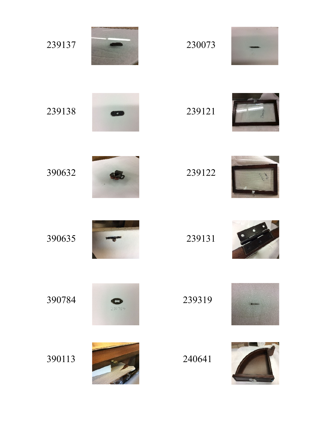| 239137 |        | 230073 |  |
|--------|--------|--------|--|
| 239138 |        | 239121 |  |
| 390632 |        | 239122 |  |
| 390635 |        | 239131 |  |
| 390784 | 390784 | 239319 |  |
| 390113 |        | 240641 |  |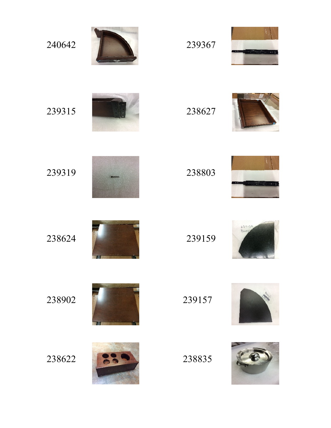| 240642 | 239367 |               |
|--------|--------|---------------|
| 239315 | 238627 |               |
| 239319 | 238803 | $\bullet$ 1   |
| 238624 | 239159 | 23915<br>Baoy |
| 238902 | 239157 |               |
| 238622 | 238835 |               |